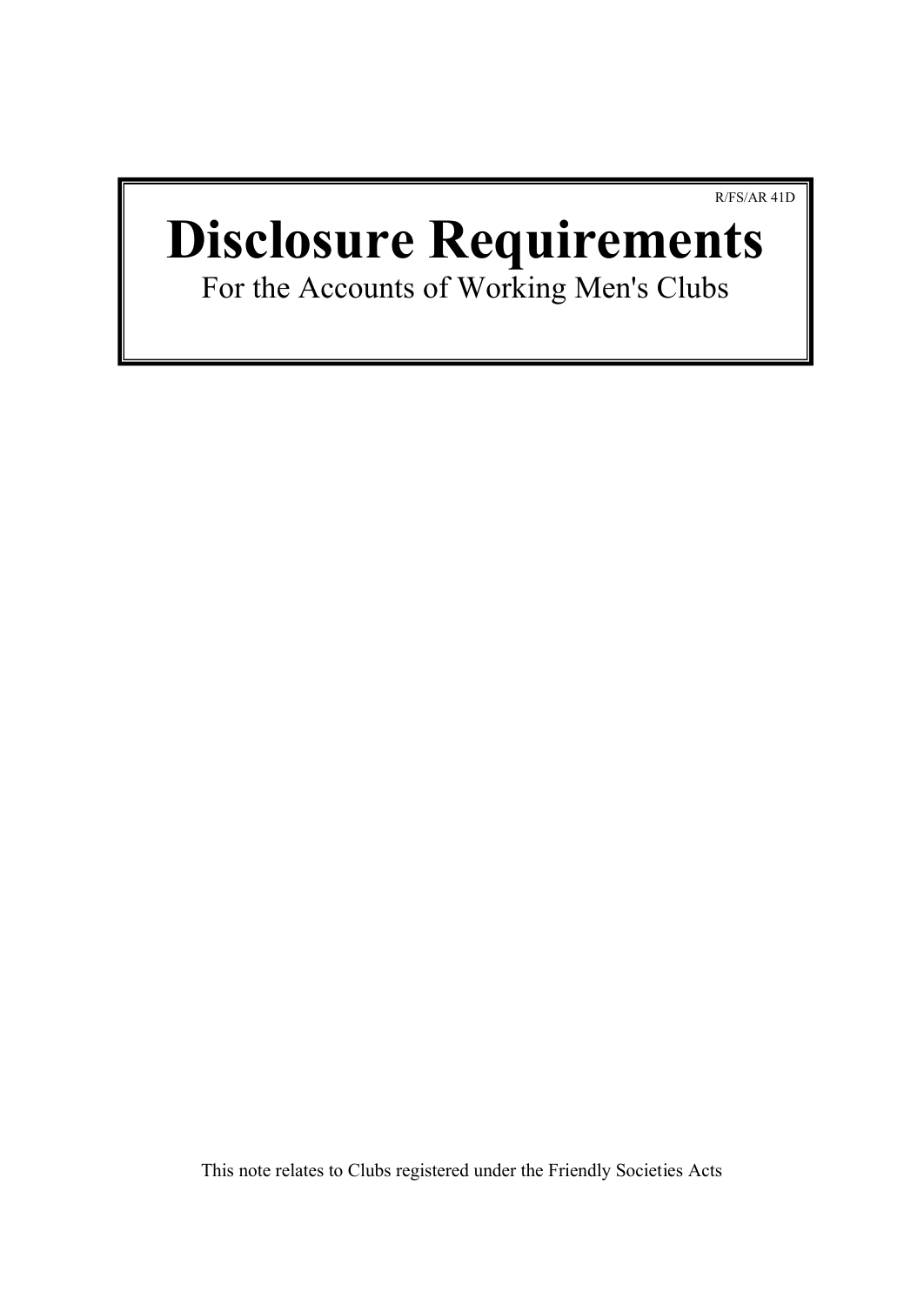R/FS/AR 41D

# **Disclosure Requirements**

For the Accounts of Working Men's Clubs

This note relates to Clubs registered under the Friendly Societies Acts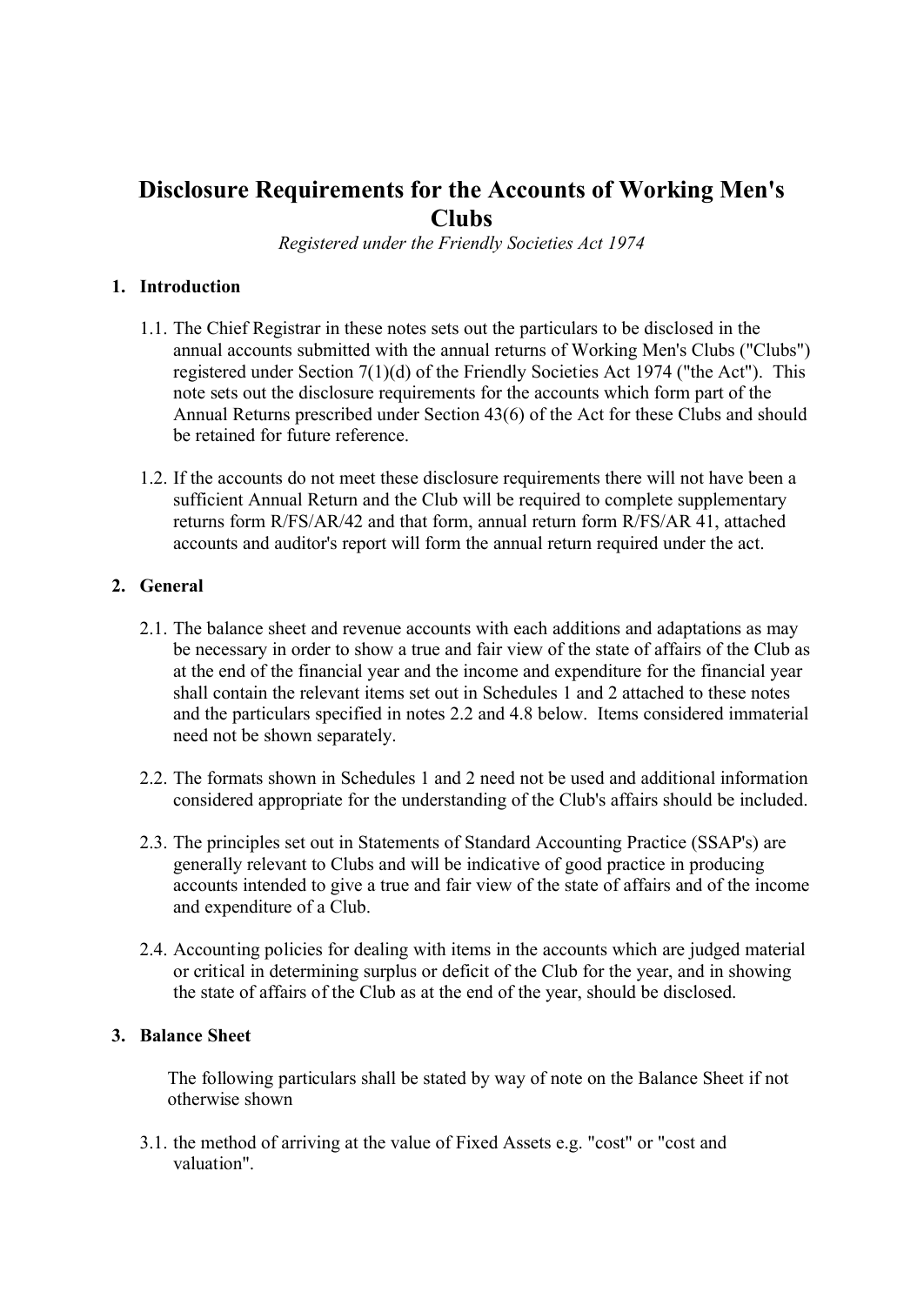# **Disclosure Requirements for the Accounts of Working Men's Clubs**

*Registered under the Friendly Societies Act 1974*

### **1. Introduction**

- 1.1. The Chief Registrar in these notes sets out the particulars to be disclosed in the annual accounts submitted with the annual returns of Working Men's Clubs ("Clubs") registered under Section 7(1)(d) of the Friendly Societies Act 1974 ("the Act"). This note sets out the disclosure requirements for the accounts which form part of the Annual Returns prescribed under Section 43(6) of the Act for these Clubs and should be retained for future reference.
- 1.2. If the accounts do not meet these disclosure requirements there will not have been a sufficient Annual Return and the Club will be required to complete supplementary returns form R/FS/AR/42 and that form, annual return form R/FS/AR 41, attached accounts and auditor's report will form the annual return required under the act.

## **2. General**

- 2.1. The balance sheet and revenue accounts with each additions and adaptations as may be necessary in order to show a true and fair view of the state of affairs of the Club as at the end of the financial year and the income and expenditure for the financial year shall contain the relevant items set out in Schedules 1 and 2 attached to these notes and the particulars specified in notes 2.2 and 4.8 below. Items considered immaterial need not be shown separately.
- 2.2. The formats shown in Schedules 1 and 2 need not be used and additional information considered appropriate for the understanding of the Club's affairs should be included.
- 2.3. The principles set out in Statements of Standard Accounting Practice (SSAP's) are generally relevant to Clubs and will be indicative of good practice in producing accounts intended to give a true and fair view of the state of affairs and of the income and expenditure of a Club.
- 2.4. Accounting policies for dealing with items in the accounts which are judged material or critical in determining surplus or deficit of the Club for the year, and in showing the state of affairs of the Club as at the end of the year, should be disclosed.

#### **3. Balance Sheet**

The following particulars shall be stated by way of note on the Balance Sheet if not otherwise shown

3.1. the method of arriving at the value of Fixed Assets e.g. "cost" or "cost and valuation".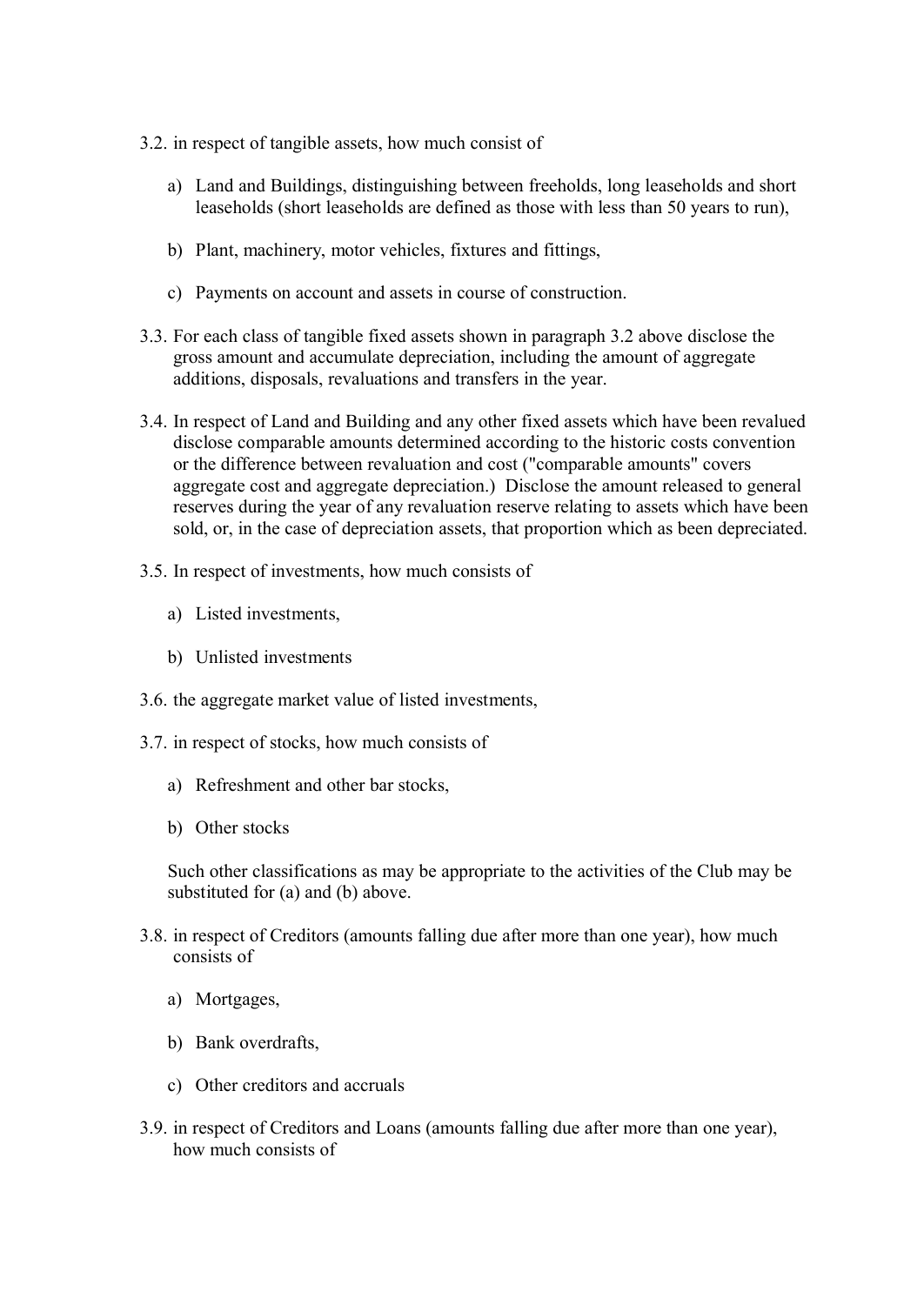- 3.2. in respect of tangible assets, how much consist of
	- a) Land and Buildings, distinguishing between freeholds, long leaseholds and short leaseholds (short leaseholds are defined as those with less than 50 years to run),
	- b) Plant, machinery, motor vehicles, fixtures and fittings,
	- c) Payments on account and assets in course of construction.
- 3.3. For each class of tangible fixed assets shown in paragraph 3.2 above disclose the gross amount and accumulate depreciation, including the amount of aggregate additions, disposals, revaluations and transfers in the year.
- 3.4. In respect of Land and Building and any other fixed assets which have been revalued disclose comparable amounts determined according to the historic costs convention or the difference between revaluation and cost ("comparable amounts" covers aggregate cost and aggregate depreciation.) Disclose the amount released to general reserves during the year of any revaluation reserve relating to assets which have been sold, or, in the case of depreciation assets, that proportion which as been depreciated.
- 3.5. In respect of investments, how much consists of
	- a) Listed investments,
	- b) Unlisted investments
- 3.6. the aggregate market value of listed investments,
- 3.7. in respect of stocks, how much consists of
	- a) Refreshment and other bar stocks,
	- b) Other stocks

Such other classifications as may be appropriate to the activities of the Club may be substituted for (a) and (b) above.

- 3.8. in respect of Creditors (amounts falling due after more than one year), how much consists of
	- a) Mortgages,
	- b) Bank overdrafts,
	- c) Other creditors and accruals
- 3.9. in respect of Creditors and Loans (amounts falling due after more than one year), how much consists of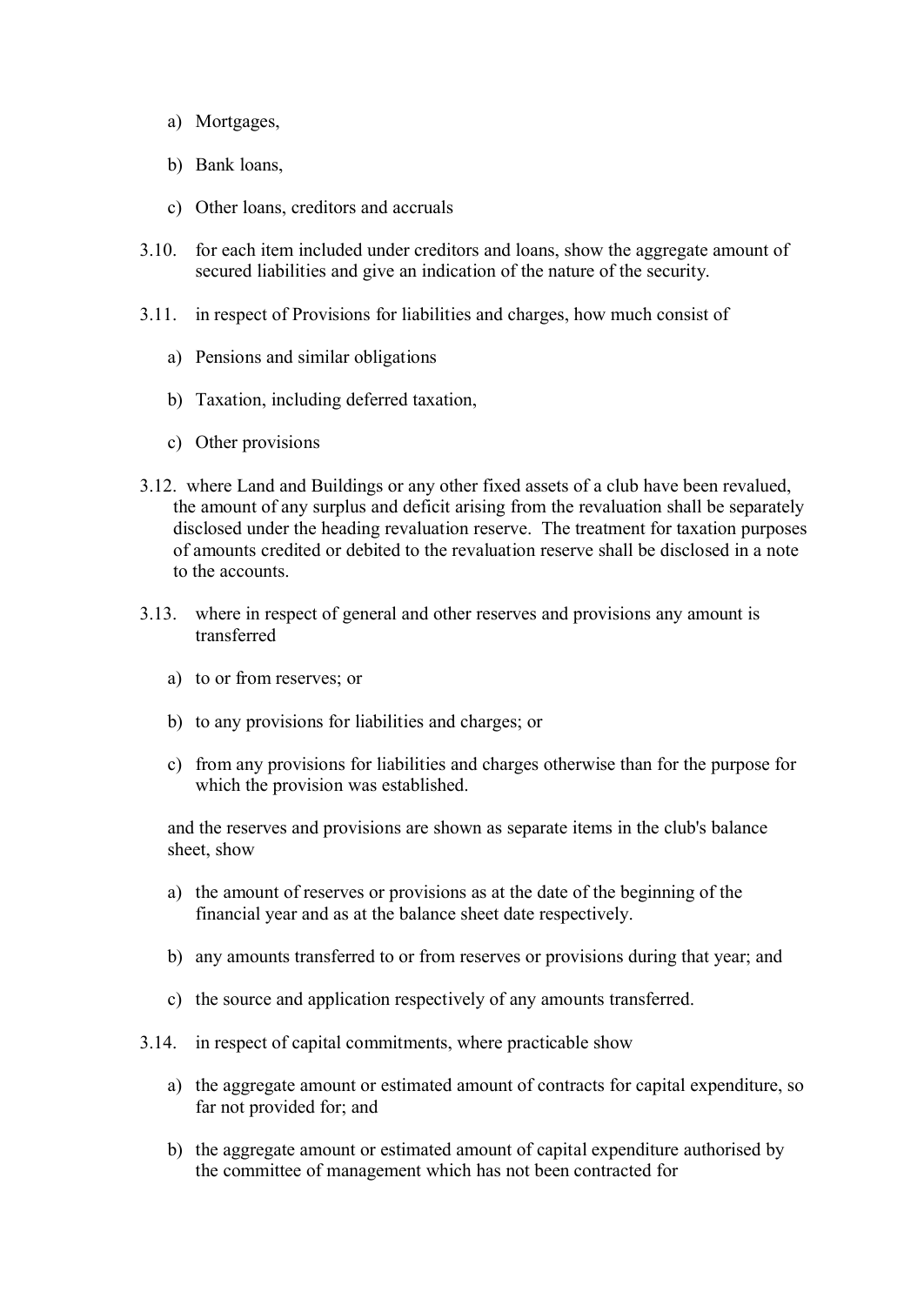- a) Mortgages,
- b) Bank loans,
- c) Other loans, creditors and accruals
- 3.10. for each item included under creditors and loans, show the aggregate amount of secured liabilities and give an indication of the nature of the security.
- 3.11. in respect of Provisions for liabilities and charges, how much consist of
	- a) Pensions and similar obligations
	- b) Taxation, including deferred taxation,
	- c) Other provisions
- 3.12. where Land and Buildings or any other fixed assets of a club have been revalued, the amount of any surplus and deficit arising from the revaluation shall be separately disclosed under the heading revaluation reserve. The treatment for taxation purposes of amounts credited or debited to the revaluation reserve shall be disclosed in a note to the accounts.
- 3.13. where in respect of general and other reserves and provisions any amount is transferred
	- a) to or from reserves; or
	- b) to any provisions for liabilities and charges; or
	- c) from any provisions for liabilities and charges otherwise than for the purpose for which the provision was established.

and the reserves and provisions are shown as separate items in the club's balance sheet, show

- a) the amount of reserves or provisions as at the date of the beginning of the financial year and as at the balance sheet date respectively.
- b) any amounts transferred to or from reserves or provisions during that year; and
- c) the source and application respectively of any amounts transferred.
- 3.14. in respect of capital commitments, where practicable show
	- a) the aggregate amount or estimated amount of contracts for capital expenditure, so far not provided for; and
	- b) the aggregate amount or estimated amount of capital expenditure authorised by the committee of management which has not been contracted for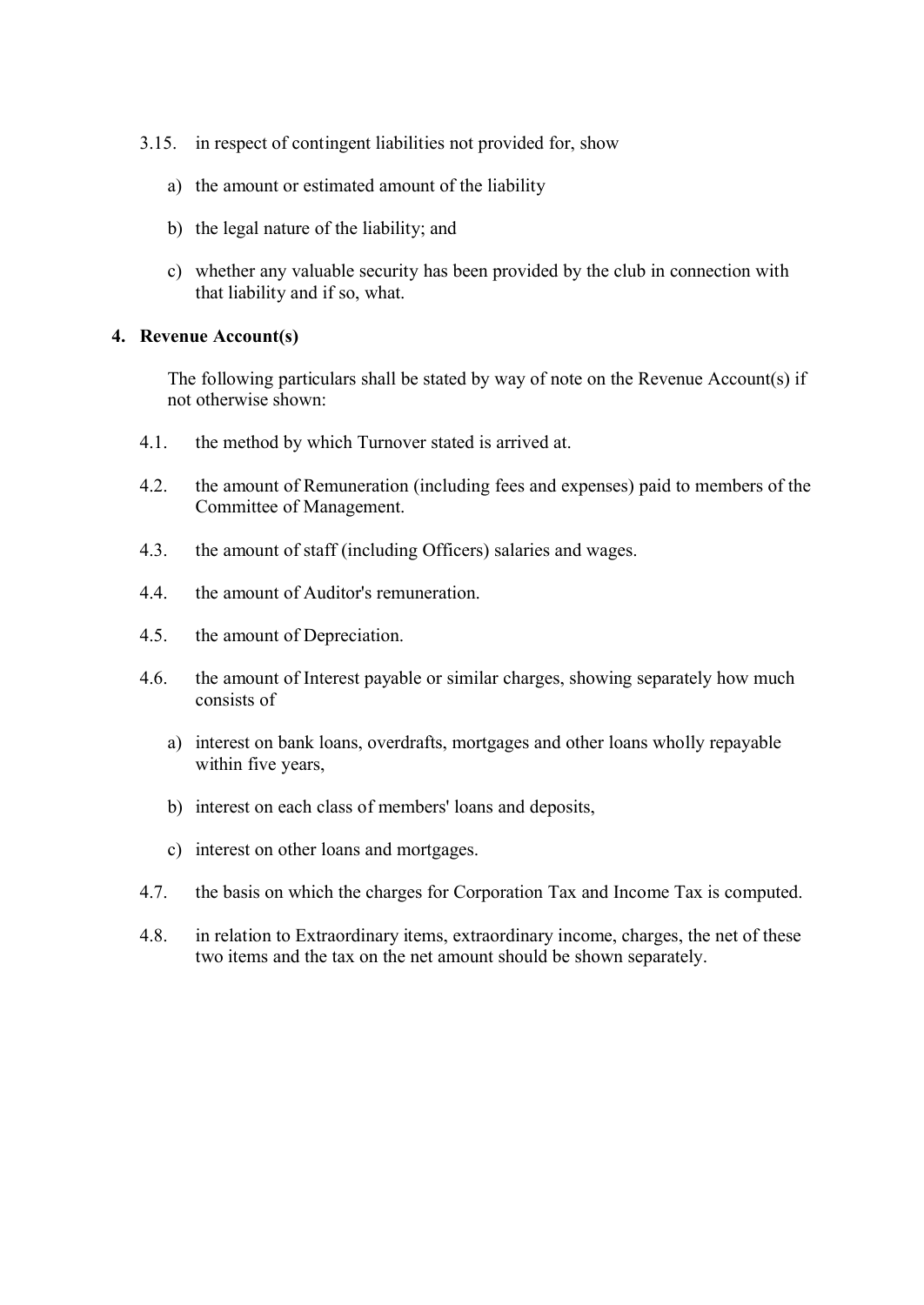- 3.15. in respect of contingent liabilities not provided for, show
	- a) the amount or estimated amount of the liability
	- b) the legal nature of the liability; and
	- c) whether any valuable security has been provided by the club in connection with that liability and if so, what.

#### **4. Revenue Account(s)**

The following particulars shall be stated by way of note on the Revenue Account(s) if not otherwise shown:

- 4.1. the method by which Turnover stated is arrived at.
- 4.2. the amount of Remuneration (including fees and expenses) paid to members of the Committee of Management.
- 4.3. the amount of staff (including Officers) salaries and wages.
- 4.4. the amount of Auditor's remuneration.
- 4.5. the amount of Depreciation.
- 4.6. the amount of Interest payable or similar charges, showing separately how much consists of
	- a) interest on bank loans, overdrafts, mortgages and other loans wholly repayable within five years,
	- b) interest on each class of members' loans and deposits,
	- c) interest on other loans and mortgages.
- 4.7. the basis on which the charges for Corporation Tax and Income Tax is computed.
- 4.8. in relation to Extraordinary items, extraordinary income, charges, the net of these two items and the tax on the net amount should be shown separately.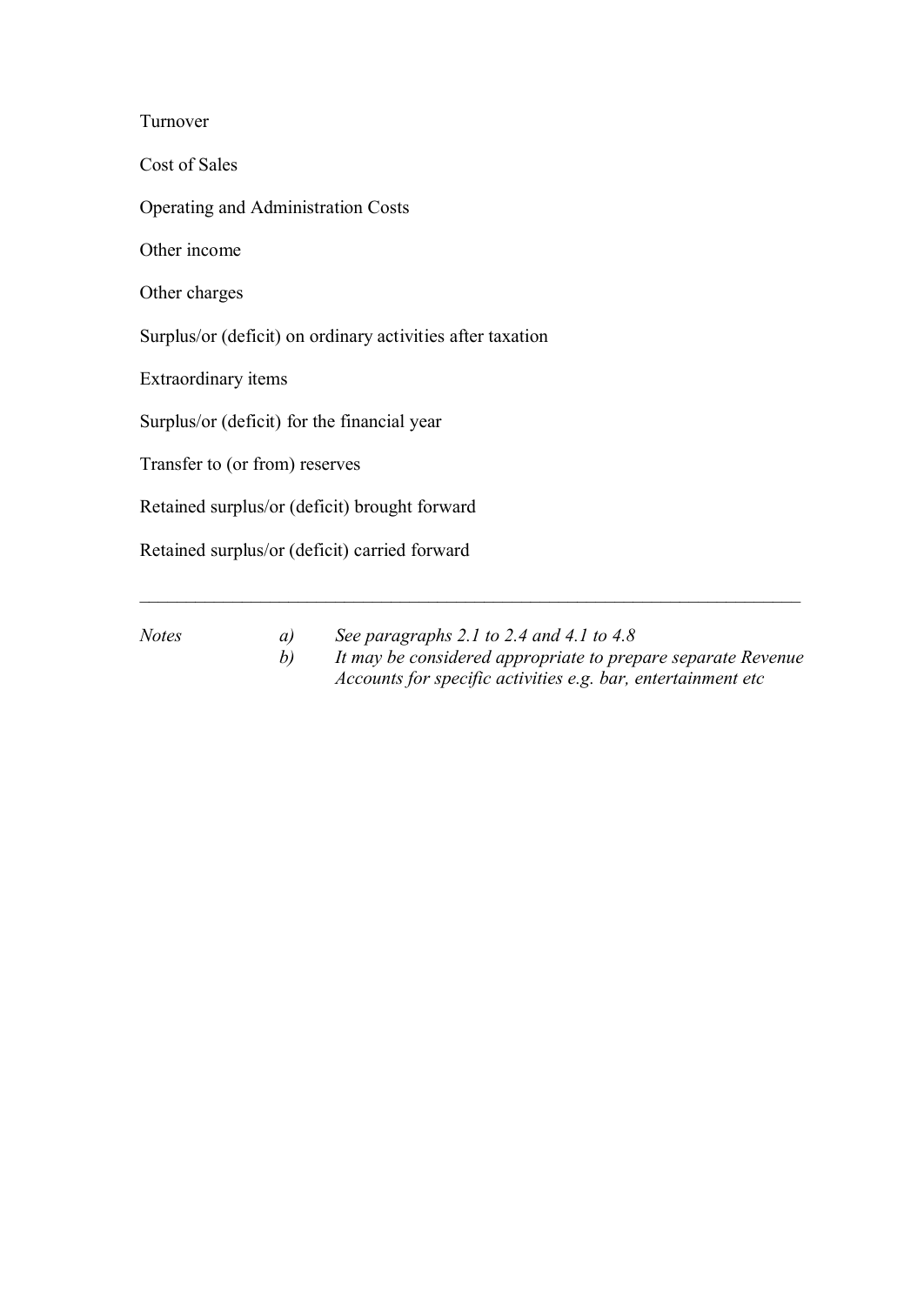Turnover

Cost of Sales

Operating and Administration Costs

Other income

Other charges

Surplus/or (deficit) on ordinary activities after taxation

Extraordinary items

Surplus/or (deficit) for the financial year

Transfer to (or from) reserves

Retained surplus/or (deficit) brought forward

Retained surplus/or (deficit) carried forward

*Notes a) See paragraphs 2.1 to 2.4 and 4.1 to 4.8 b) It may be considered appropriate to prepare separate Revenue Accounts for specific activities e.g. bar, entertainment etc*

\_\_\_\_\_\_\_\_\_\_\_\_\_\_\_\_\_\_\_\_\_\_\_\_\_\_\_\_\_\_\_\_\_\_\_\_\_\_\_\_\_\_\_\_\_\_\_\_\_\_\_\_\_\_\_\_\_\_\_\_\_\_\_\_\_\_\_\_\_\_\_